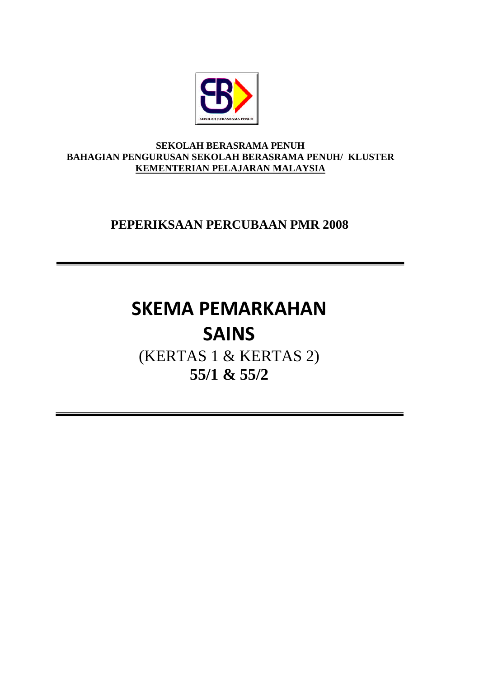

#### **SEKOLAH BERASRAMA PENUH BAHAGIAN PENGURUSAN SEKOLAH BERASRAMA PENUH/ KLUSTER KEMENTERIAN PELAJARAN MALAYSIA**

# **PEPERIKSAAN PERCUBAAN PMR 2008**

# **SKEMA PEMARKAHAN SAINS**

(KERTAS 1 & KERTAS 2) **55/1 & 55/2**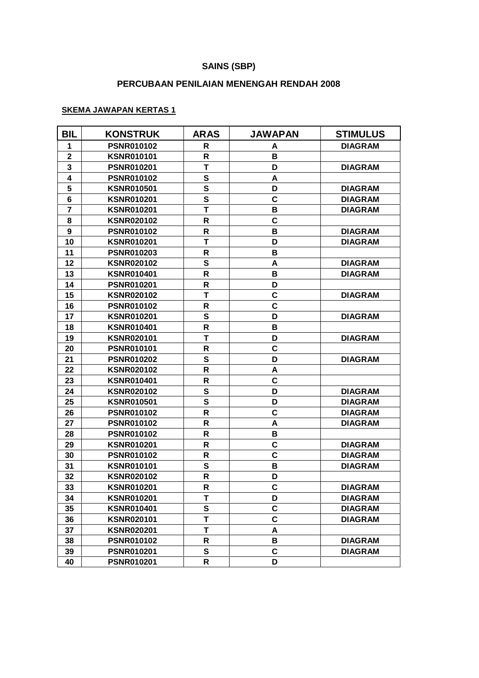### **SAINS (SBP)**

## **PERCUBAAN PENILAIAN MENENGAH RENDAH 2008**

#### **SKEMA JAWAPAN KERTAS 1**

| <b>BIL</b>     | <b>KONSTRUK</b>   | <b>ARAS</b>  | <b>JAWAPAN</b> | <b>STIMULUS</b> |
|----------------|-------------------|--------------|----------------|-----------------|
| 1              | <b>PSNR010102</b> | R            | A              | <b>DIAGRAM</b>  |
| $\mathbf 2$    | <b>KSNR010101</b> | R            | в              |                 |
| 3              | <b>PSNR010201</b> | T            | D              | <b>DIAGRAM</b>  |
| 4              | <b>PSNR010102</b> | ${\bf S}$    | A              |                 |
| 5              | <b>KSNR010501</b> | $\mathbf s$  | D              | <b>DIAGRAM</b>  |
| 6              | <b>KSNR010201</b> | ${\bf S}$    | C              | <b>DIAGRAM</b>  |
| $\overline{7}$ | <b>KSNR010201</b> | T            | в              | <b>DIAGRAM</b>  |
| 8              | <b>KSNR020102</b> | R            | C              |                 |
| 9              | <b>PSNR010102</b> | R            | в              | <b>DIAGRAM</b>  |
| 10             | <b>KSNR010201</b> | T            | D              | <b>DIAGRAM</b>  |
| 11             | <b>PSNR010203</b> | R            | В              |                 |
| 12             | <b>KSNR020102</b> | S            | A              | <b>DIAGRAM</b>  |
| 13             | <b>KSNR010401</b> | $\mathsf{R}$ | В              | <b>DIAGRAM</b>  |
| 14             | <b>PSNR010201</b> | R            | D              |                 |
| 15             | <b>KSNR020102</b> | T            | $\mathbf c$    | <b>DIAGRAM</b>  |
| 16             | <b>PSNR010102</b> | R            | C              |                 |
| 17             | <b>KSNR010201</b> | S            | D              | <b>DIAGRAM</b>  |
| 18             | <b>KSNR010401</b> | R            | В              |                 |
| 19             | <b>KSNR020101</b> | т            | D              | <b>DIAGRAM</b>  |
| 20             | <b>PSNR010101</b> | R            | $\mathbf c$    |                 |
| 21             | <b>PSNR010202</b> | S            | D              | <b>DIAGRAM</b>  |
| 22             | <b>KSNR020102</b> | R            | A              |                 |
| 23             | <b>KSNR010401</b> | R            | $\mathbf c$    |                 |
| 24             | <b>KSNR020102</b> | S            | D              | <b>DIAGRAM</b>  |
| 25             | <b>KSNR010501</b> | ${\bf S}$    | D              | <b>DIAGRAM</b>  |
| 26             | <b>PSNR010102</b> | R            | C              | <b>DIAGRAM</b>  |
| 27             | <b>PSNR010102</b> | R            | A              | <b>DIAGRAM</b>  |
| 28             | <b>PSNR010102</b> | R            | в              |                 |
| 29             | <b>KSNR010201</b> | R            | C              | <b>DIAGRAM</b>  |
| 30             | <b>PSNR010102</b> | R            | C              | <b>DIAGRAM</b>  |
| 31             | <b>KSNR010101</b> | S            | В              | <b>DIAGRAM</b>  |
| 32             | <b>KSNR020102</b> | $\mathsf{R}$ | D              |                 |
| 33             | <b>KSNR010201</b> | R            | C              | <b>DIAGRAM</b>  |
| 34             | <b>KSNR010201</b> | T            | D              | <b>DIAGRAM</b>  |
| 35             | <b>KSNR010401</b> | S            | C              | <b>DIAGRAM</b>  |
| 36             | <b>KSNR020101</b> | T            | $\mathbf c$    | <b>DIAGRAM</b>  |
| 37             | <b>KSNR020201</b> | T            | A              |                 |
| 38             | <b>PSNR010102</b> | R            | В              | <b>DIAGRAM</b>  |
| 39             | <b>PSNR010201</b> | S            | $\mathbf c$    | <b>DIAGRAM</b>  |
| 40             | <b>PSNR010201</b> | R            | D              |                 |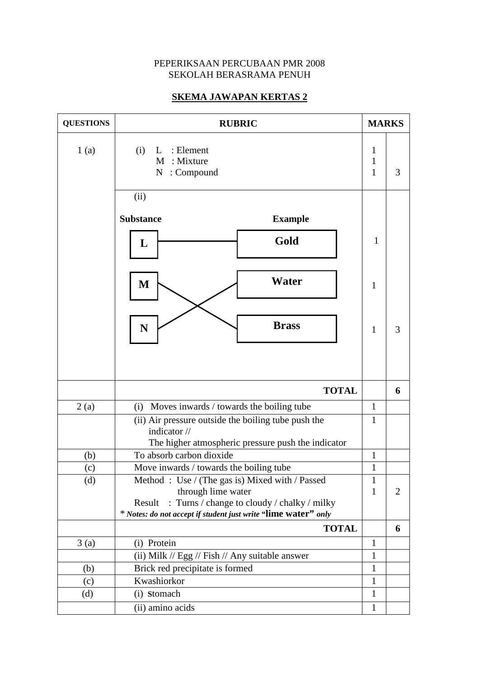#### PEPERIKSAAN PERCUBAAN PMR 2008 SEKOLAH BERASRAMA PENUH

# **SKEMA JAWAPAN KERTAS 2**

| <b>QUESTIONS</b> | <b>RUBRIC</b>                                                                                                                                                                                   |                        |                |
|------------------|-------------------------------------------------------------------------------------------------------------------------------------------------------------------------------------------------|------------------------|----------------|
| 1(a)             | : Element<br>(i)<br>L<br>: Mixture<br>M<br>: Compound<br>$\mathbf N$                                                                                                                            | 1<br>$\mathbf{1}$<br>1 | 3              |
|                  | (ii)                                                                                                                                                                                            |                        |                |
|                  | <b>Substance</b><br><b>Example</b>                                                                                                                                                              |                        |                |
|                  | Gold<br>L                                                                                                                                                                                       | $\mathbf{1}$           |                |
|                  | Water<br>M                                                                                                                                                                                      | 1                      |                |
|                  | <b>Brass</b><br>N                                                                                                                                                                               | $\mathbf{1}$           | 3              |
|                  |                                                                                                                                                                                                 |                        |                |
|                  | <b>TOTAL</b>                                                                                                                                                                                    |                        | 6              |
| 2(a)             | Moves inwards / towards the boiling tube<br>(i)                                                                                                                                                 |                        |                |
|                  | (ii) Air pressure outside the boiling tube push the<br>indicator //<br>The higher atmospheric pressure push the indicator                                                                       |                        |                |
| (b)              | To absorb carbon dioxide                                                                                                                                                                        | 1                      |                |
| (c)              | Move inwards / towards the boiling tube                                                                                                                                                         | 1                      |                |
| (d)              | Method: Use / (The gas is) Mixed with / Passed<br>through lime water<br>: Turns / change to cloudy / chalky / milky<br>Result<br>* Notes: do not accept if student just write "lime water" only | 1<br>$\mathbf{1}$      | $\overline{2}$ |
|                  | <b>TOTAL</b>                                                                                                                                                                                    |                        | 6              |
| 3(a)             | (i) Protein                                                                                                                                                                                     | $\mathbf{1}$           |                |
|                  | (ii) Milk // Egg // Fish // Any suitable answer                                                                                                                                                 | 1                      |                |
| (b)              | Brick red precipitate is formed                                                                                                                                                                 | $\mathbf{1}$           |                |
| (c)              | Kwashiorkor                                                                                                                                                                                     |                        |                |
| (d)              | (i) Stomach                                                                                                                                                                                     |                        |                |
|                  | (ii) amino acids                                                                                                                                                                                | $\mathbf{1}$           |                |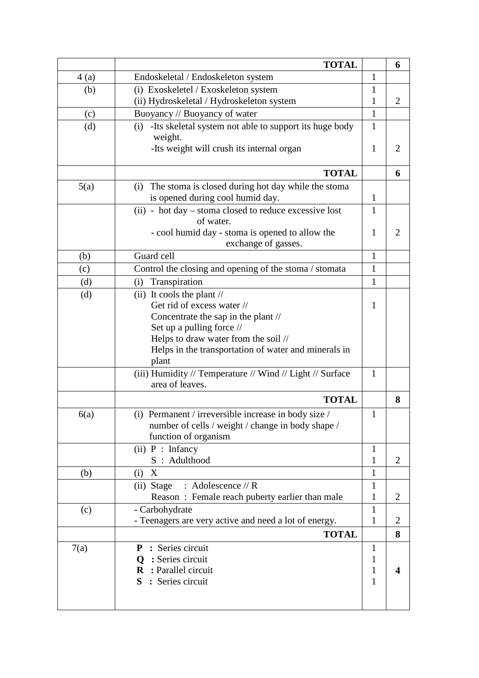|      | <b>TOTAL</b>                                                            |              | 6              |
|------|-------------------------------------------------------------------------|--------------|----------------|
| 4(a) | Endoskeletal / Endoskeleton system                                      | $\mathbf{1}$ |                |
| (b)  | (i) Exoskeletel / Exoskeleton system                                    | 1            |                |
|      | (ii) Hydroskeletal / Hydroskeleton system                               | 1            | $\overline{2}$ |
| (c)  | Buoyancy // Buoyancy of water                                           | 1            |                |
| (d)  | -Its skeletal system not able to support its huge body<br>(i)           | 1            |                |
|      | weight.                                                                 |              |                |
|      | -Its weight will crush its internal organ                               | 1            | $\overline{2}$ |
|      | <b>TOTAL</b>                                                            |              | 6              |
| 5(a) | The stoma is closed during hot day while the stoma<br>(i)               |              |                |
|      | is opened during cool humid day.                                        | $\mathbf{1}$ |                |
|      | (ii) - hot day – stoma closed to reduce excessive lost                  | 1            |                |
|      | of water.                                                               |              |                |
|      | - cool humid day - stoma is opened to allow the                         |              | $\overline{2}$ |
|      | exchange of gasses.                                                     |              |                |
| (b)  | Guard cell                                                              | 1            |                |
| (c)  | Control the closing and opening of the stoma / stomata                  | $\mathbf{1}$ |                |
| (d)  | Transpiration<br>(i)                                                    | $\mathbf{1}$ |                |
| (d)  | (ii) It cools the plant $\frac{1}{\sqrt{2}}$                            |              |                |
|      | Get rid of excess water //                                              | 1            |                |
|      | Concentrate the sap in the plant //<br>Set up a pulling force //        |              |                |
|      | Helps to draw water from the soil //                                    |              |                |
|      | Helps in the transportation of water and minerals in                    |              |                |
|      | plant                                                                   |              |                |
|      | (iii) Humidity // Temperature // Wind // Light // Surface               | 1            |                |
|      | area of leaves.                                                         |              |                |
|      | <b>TOTAL</b>                                                            |              | 8              |
| 6(a) | (i) Permanent / irreversible increase in body size /                    | $\mathbf{1}$ |                |
|      | number of cells / weight / change in body shape /                       |              |                |
|      | function of organism                                                    |              |                |
|      | $(ii)$ P : Infancy                                                      | 1            |                |
|      | S: Adulthood                                                            | 1            | $\overline{2}$ |
| (b)  | X<br>(i)                                                                | $\mathbf{1}$ |                |
|      | (ii) Stage<br>: Adolescence $//$ R                                      | 1            |                |
|      | Reason: Female reach puberty earlier than male                          | 1            | $\overline{2}$ |
| (c)  | - Carbohydrate<br>- Teenagers are very active and need a lot of energy. | 1<br>1       | 2              |
|      | <b>TOTAL</b>                                                            |              | 8              |
| 7(a) | <b>P</b> : Series circuit                                               | 1            |                |
|      | Q : Series circuit                                                      | $\mathbf{1}$ |                |
|      | R : Parallel circuit                                                    | 1            | 4              |
|      | S : Series circuit                                                      | 1            |                |
|      |                                                                         |              |                |
|      |                                                                         |              |                |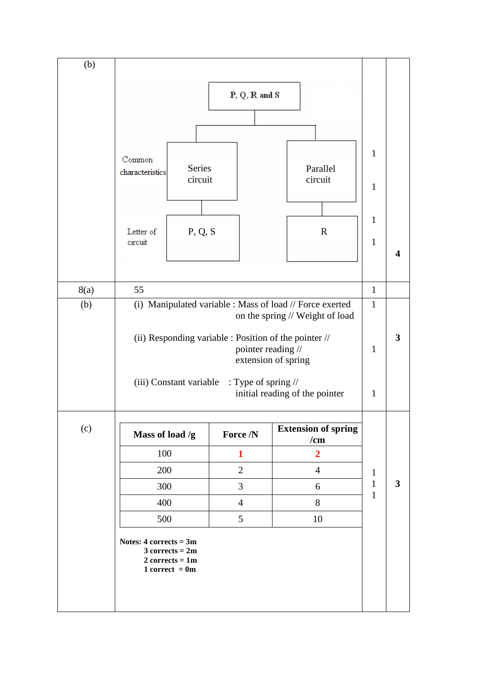| (b)  |                                                                                                    |         |                |                                   |                                              |                  |
|------|----------------------------------------------------------------------------------------------------|---------|----------------|-----------------------------------|----------------------------------------------|------------------|
|      | $P, Q, R$ and $S$                                                                                  |         |                |                                   |                                              |                  |
|      |                                                                                                    |         |                |                                   |                                              |                  |
|      |                                                                                                    |         |                |                                   |                                              |                  |
|      |                                                                                                    |         |                |                                   | $\mathbf{1}$                                 |                  |
|      | Common<br>characteristics                                                                          | Series  |                | Parallel                          |                                              |                  |
|      | circuit                                                                                            |         |                | circuit                           | $\mathbf{1}$                                 |                  |
|      |                                                                                                    |         |                |                                   |                                              |                  |
|      |                                                                                                    |         |                |                                   | $\mathbf{1}$                                 |                  |
|      | Letter of<br>circuit                                                                               | P, Q, S |                | $\mathbf R$                       | $\mathbf{1}$                                 |                  |
|      |                                                                                                    |         |                |                                   |                                              | $\boldsymbol{4}$ |
|      |                                                                                                    |         |                |                                   |                                              |                  |
| 8(a) | 55                                                                                                 |         |                | $\mathbf{1}$<br>$\mathbf{1}$      |                                              |                  |
| (b)  | (i) Manipulated variable : Mass of load // Force exerted<br>on the spring // Weight of load        |         |                |                                   |                                              |                  |
|      | (ii) Responding variable : Position of the pointer //<br>pointer reading //<br>extension of spring |         |                |                                   | $\mathbf{1}$                                 | 3                |
|      | (iii) Constant variable : Type of spring //<br>initial reading of the pointer                      |         |                |                                   | $\mathbf{1}$                                 |                  |
| (c)  | Mass of load /g                                                                                    |         | Force /N       | <b>Extension of spring</b><br>/cm |                                              |                  |
|      | 100                                                                                                |         | $\mathbf{1}$   | $\overline{2}$                    |                                              |                  |
|      | 200                                                                                                |         | $\overline{2}$ | $\overline{4}$                    | $\mathbf{1}$<br>$\mathbf{1}$<br>$\mathbf{1}$ |                  |
|      | 300                                                                                                |         | 3              | 6                                 |                                              | $\mathbf{3}$     |
|      | 400                                                                                                |         | $\overline{4}$ | 8                                 |                                              |                  |
|      | 500                                                                                                |         | 5              | 10                                |                                              |                  |
|      | Notes: $4$ corrects = $3m$<br>$3 corrects = 2m$<br>$2$ corrects = 1m<br>$1 correct = 0m$           |         |                |                                   |                                              |                  |
|      |                                                                                                    |         |                |                                   |                                              |                  |